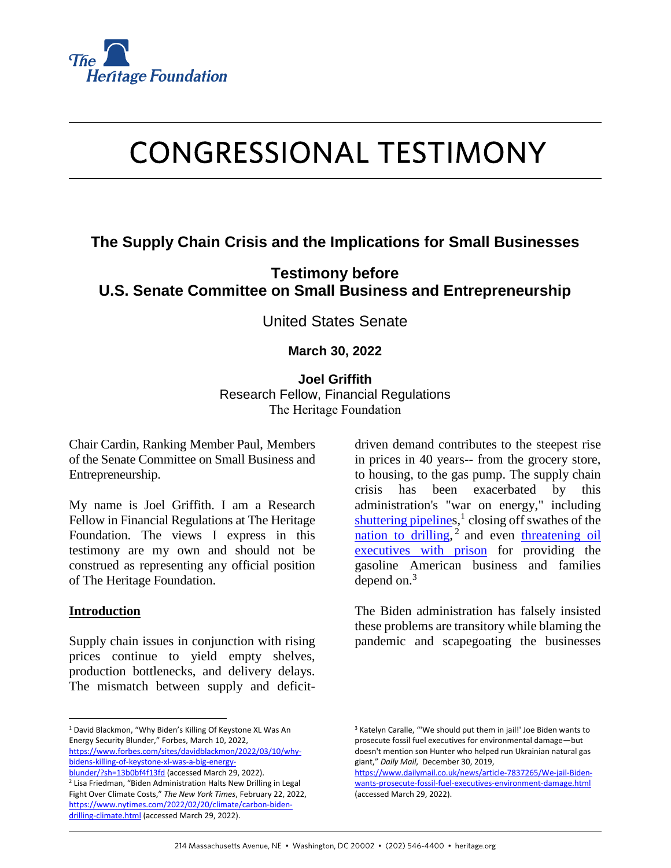

# **CONGRESSIONAL TESTIMONY**

## **The Supply Chain Crisis and the Implications for Small Businesses**

**Testimony before U.S. Senate Committee on Small Business and Entrepreneurship**

United States Senate

### **March 30, 2022**

**Joel Griffith** Research Fellow, Financial Regulations The Heritage Foundation

Chair Cardin, Ranking Member Paul, Members of the Senate Committee on Small Business and Entrepreneurship.

My name is Joel Griffith. I am a Research Fellow in Financial Regulations at The Heritage Foundation. The views I express in this testimony are my own and should not be construed as representing any official position of The Heritage Foundation.

#### **Introduction**

 $\overline{a}$ 

Supply chain issues in conjunction with rising prices continue to yield empty shelves, production bottlenecks, and delivery delays. The mismatch between supply and deficitdriven demand contributes to the steepest rise in prices in 40 years-- from the grocery store, to housing, to the gas pump. The supply chain crisis has been exacerbated by this administration's "war on energy," including [shuttering pipelines](https://www.forbes.com/sites/davidblackmon/2022/03/10/why-bidens-killing-of-keystone-xl-was-a-big-energy-blunder/?sh=13b0bf4f13fd),<sup>1</sup> closing off swathes of the [nation to drilling,](https://www.nytimes.com/2022/02/20/climate/carbon-biden-drilling-climate.html)<sup>2</sup> and even threatening oil [executives with prison](https://www.dailymail.co.uk/news/article-7837265/We-jail-Biden-wants-prosecute-fossil-fuel-executives-environment-damage.html) for providing the gasoline American business and families depend on. $3$ 

The Biden administration has falsely insisted these problems are transitory while blaming the pandemic and scapegoating the businesses

<sup>&</sup>lt;sup>1</sup> David Blackmon, "Why Biden's Killing Of Keystone XL Was An Energy Security Blunder," Forbes, March 10, 2022, [https://www.forbes.com/sites/davidblackmon/2022/03/10/why](https://www.forbes.com/sites/davidblackmon/2022/03/10/why-bidens-killing-of-keystone-xl-was-a-big-energy-blunder/?sh=13b0bf4f13fd)[bidens-killing-of-keystone-xl-was-a-big-energy-](https://www.forbes.com/sites/davidblackmon/2022/03/10/why-bidens-killing-of-keystone-xl-was-a-big-energy-blunder/?sh=13b0bf4f13fd)

[blunder/?sh=13b0bf4f13fd](https://www.forbes.com/sites/davidblackmon/2022/03/10/why-bidens-killing-of-keystone-xl-was-a-big-energy-blunder/?sh=13b0bf4f13fd) (accessed March 29, 2022). <sup>2</sup> Lisa Friedman, "Biden Administration Halts New Drilling in Legal Fight Over Climate Costs," *The New York Times*, February 22, 2022, [https://www.nytimes.com/2022/02/20/climate/carbon-biden](https://www.nytimes.com/2022/02/20/climate/carbon-biden-drilling-climate.html)[drilling-climate.html](https://www.nytimes.com/2022/02/20/climate/carbon-biden-drilling-climate.html) (accessed March 29, 2022).

<sup>&</sup>lt;sup>3</sup> Katelyn Caralle, "'We should put them in jail!' Joe Biden wants to prosecute fossil fuel executives for environmental damage—but doesn't mention son Hunter who helped run Ukrainian natural gas giant," *Daily Mail*, December 30, 2019,

[https://www.dailymail.co.uk/news/article-7837265/We-jail-Biden](https://www.dailymail.co.uk/news/article-7837265/We-jail-Biden-wants-prosecute-fossil-fuel-executives-environment-damage.html)[wants-prosecute-fossil-fuel-executives-environment-damage.html](https://www.dailymail.co.uk/news/article-7837265/We-jail-Biden-wants-prosecute-fossil-fuel-executives-environment-damage.html) (accessed March 29, 2022).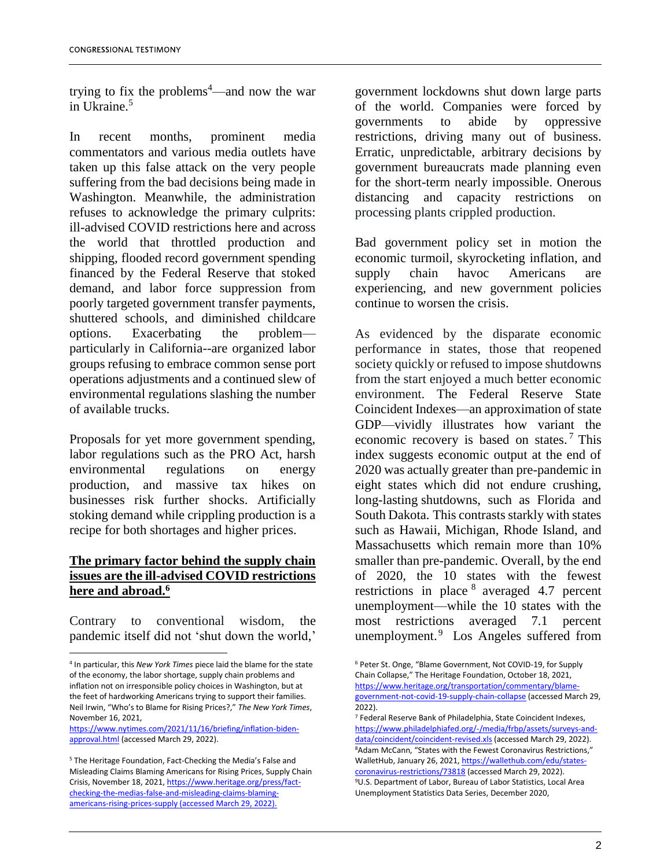trying to fix the problems<sup>4</sup>—and now the war in Ukraine.<sup>5</sup>

In recent months, prominent media commentators and various media outlets have taken up this false attack on the very people suffering from the bad decisions being made in Washington. Meanwhile, the administration refuses to acknowledge the primary culprits: ill-advised COVID restrictions here and across the world that throttled production and shipping, flooded record government spending financed by the Federal Reserve that stoked demand, and labor force suppression from poorly targeted government transfer payments, shuttered schools, and diminished childcare options. Exacerbating the problem particularly in California--are organized labor groups refusing to embrace common sense port operations adjustments and a continued slew of environmental regulations slashing the number of available trucks.

Proposals for yet more government spending, labor regulations such as the PRO Act, harsh environmental regulations on energy production, and massive tax hikes on businesses risk further shocks. Artificially stoking demand while crippling production is a recipe for both shortages and higher prices.

#### **The primary factor behind the supply chain issues are the ill-advised COVID restrictions here and abroad.<sup>6</sup>**

Contrary to conventional wisdom, the pandemic itself did not 'shut down the world,'

1

[https://www.nytimes.com/2021/11/16/briefing/inflation-biden](https://www.nytimes.com/2021/11/16/briefing/inflation-biden-approval.html)[approval.html](https://www.nytimes.com/2021/11/16/briefing/inflation-biden-approval.html) (accessed March 29, 2022).

government lockdowns shut down large parts of the world. Companies were forced by governments to abide by oppressive restrictions, driving many out of business. Erratic, unpredictable, arbitrary decisions by government bureaucrats made planning even for the short-term nearly impossible. Onerous distancing and capacity restrictions on processing plants crippled production.

Bad government policy set in motion the economic turmoil, skyrocketing inflation, and supply chain havoc Americans are experiencing, and new government policies continue to worsen the crisis.

As evidenced by the disparate economic performance in states, those that reopened society quickly or refused to impose shutdowns from the start enjoyed a much better economic environment. The Federal Reserve State Coincident Indexes—an approximation of state GDP—vividly illustrates how variant the economic recovery is based on states.<sup>7</sup> This index suggests economic output at the end of 2020 was actually greater than pre-pandemic in eight states which did not endure crushing, long-lasting shutdowns, such as Florida and South Dakota. This contrasts starkly with states such as Hawaii, Michigan, Rhode Island, and Massachusetts which remain more than 10% smaller than pre-pandemic. Overall, by the end of 2020, the 10 states with the fewest restrictions in place  $8$  averaged 4.7 percent unemployment—while the 10 states with the most restrictions averaged 7.1 percent unemployment.<sup>9</sup> Los Angeles suffered from

<sup>4</sup> In particular, this *New York Times* piece laid the blame for the state of the economy, the labor shortage, supply chain problems and inflation not on irresponsible policy choices in Washington, but at the feet of hardworking Americans trying to support their families. Neil Irwin, "Who's to Blame for Rising Prices?," *The New York Times*, November 16, 2021,

<sup>5</sup> The Heritage Foundation, Fact-Checking the Media's False and Misleading Claims Blaming Americans for Rising Prices, Supply Chain Crisis, November 18, 2021[, https://www.heritage.org/press/fact](https://www.heritage.org/press/fact-checking-the-medias-false-and-misleading-claims-blaming-americans-rising-prices-supply)[checking-the-medias-false-and-misleading-claims-blaming](https://www.heritage.org/press/fact-checking-the-medias-false-and-misleading-claims-blaming-americans-rising-prices-supply)[americans-rising-prices-supply](https://www.heritage.org/press/fact-checking-the-medias-false-and-misleading-claims-blaming-americans-rising-prices-supply) (accessed March 29, 2022).

<sup>6</sup> Peter St. Onge, "Blame Government, Not COVID-19, for Supply Chain Collapse," The Heritage Foundation, October 18, 2021, [https://www.heritage.org/transportation/commentary/blame](https://www.heritage.org/transportation/commentary/blame-government-not-covid-19-supply-chain-collapse)[government-not-covid-19-supply-chain-collapse](https://www.heritage.org/transportation/commentary/blame-government-not-covid-19-supply-chain-collapse) (accessed March 29, 2022).

<sup>7</sup> Federal Reserve Bank of Philadelphia, State Coincident Indexes, [https://www.philadelphiafed.org/-/media/frbp/assets/surveys-and](https://www.philadelphiafed.org/-/media/frbp/assets/surveys-and-data/coincident/coincident-revised.xls)[data/coincident/coincident-revised.xls](https://www.philadelphiafed.org/-/media/frbp/assets/surveys-and-data/coincident/coincident-revised.xls) (accessed March 29, 2022). <sup>8</sup>Adam McCann, "States with the Fewest Coronavirus Restrictions," WalletHub, January 26, 2021[, https://wallethub.com/edu/states](https://wallethub.com/edu/states-coronavirus-restrictions/73818)[coronavirus-restrictions/73818](https://wallethub.com/edu/states-coronavirus-restrictions/73818) (accessed March 29, 2022). <sup>9</sup>U.S. Department of Labor, Bureau of Labor Statistics, Local Area Unemployment Statistics Data Series, December 2020,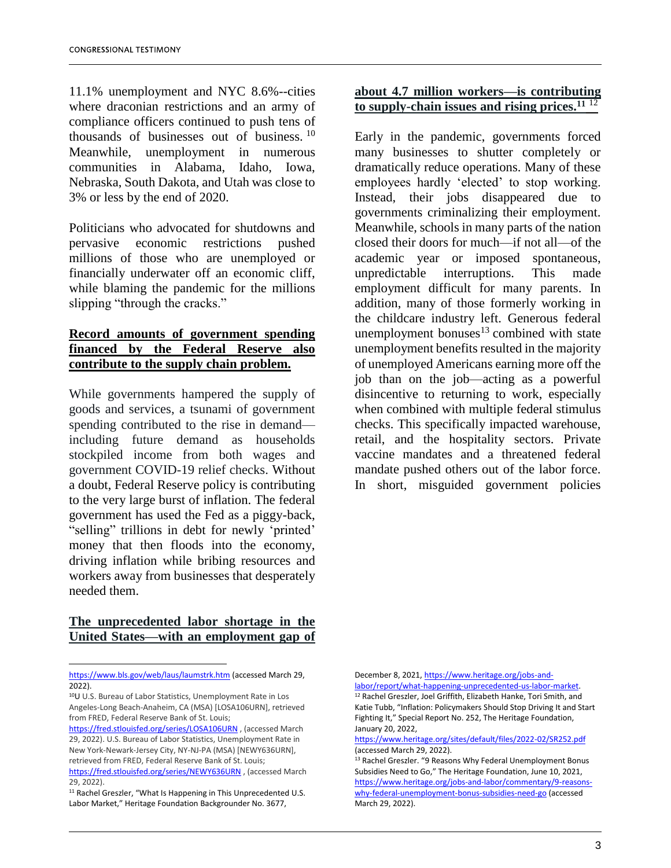11.1% unemployment and NYC 8.6%--cities where draconian restrictions and an army of compliance officers continued to push tens of thousands of businesses out of business.<sup>10</sup> Meanwhile, unemployment in numerous communities in Alabama, Idaho, Iowa, Nebraska, South Dakota, and Utah was close to 3% or less by the end of 2020.

Politicians who advocated for shutdowns and pervasive economic restrictions pushed millions of those who are unemployed or financially underwater off an economic cliff, while blaming the pandemic for the millions slipping "through the cracks."

#### **Record amounts of government spending financed by the Federal Reserve also contribute to the supply chain problem.**

While governments hampered the supply of goods and services, a tsunami of government spending contributed to the rise in demand including future demand as households stockpiled income from both wages and government COVID-19 relief checks. Without a doubt, Federal Reserve policy is contributing to the very large burst of inflation. The federal government has used the Fed as a piggy-back, "selling" trillions in debt for newly 'printed' money that then floods into the economy, driving inflation while bribing resources and workers away from businesses that desperately needed them.

#### **The unprecedented labor shortage in the United States—with an employment gap of**

 $\overline{a}$ 

#### **about 4.7 million workers—is contributing to supply-chain issues and rising prices.<sup>11</sup>** <sup>12</sup>

Early in the pandemic, governments forced many businesses to shutter completely or dramatically reduce operations. Many of these employees hardly 'elected' to stop working. Instead, their jobs disappeared due to governments criminalizing their employment. Meanwhile, schools in many parts of the nation closed their doors for much—if not all—of the academic year or imposed spontaneous, unpredictable interruptions. This made employment difficult for many parents. In addition, many of those formerly working in the childcare industry left. Generous federal unemployment bonuses $13$  combined with state unemployment benefits resulted in the majority of unemployed Americans earning more off the job than on the job—acting as a powerful disincentive to returning to work, especially when combined with multiple federal stimulus checks. This specifically impacted warehouse, retail, and the hospitality sectors. Private vaccine mandates and a threatened federal mandate pushed others out of the labor force. In short, misguided government policies

December 8, 2021[, https://www.heritage.org/jobs-and-](https://www.heritage.org/jobs-and-labor/report/what-happening-unprecedented-us-labor-market)

<https://www.bls.gov/web/laus/laumstrk.htm> (accessed March 29, 2022).

<sup>10</sup>U U.S. Bureau of Labor Statistics, Unemployment Rate in Los Angeles-Long Beach-Anaheim, CA (MSA) [LOSA106URN], retrieved from FRED, Federal Reserve Bank of St. Louis;

<https://fred.stlouisfed.org/series/LOSA106URN>, (accessed March 29, 2022). U.S. Bureau of Labor Statistics, Unemployment Rate in New York-Newark-Jersey City, NY-NJ-PA (MSA) [NEWY636URN], retrieved from FRED, Federal Reserve Bank of St. Louis; <https://fred.stlouisfed.org/series/NEWY636URN> , (accessed March

<sup>29, 2022).</sup> <sup>11</sup> Rachel Greszler, "What Is Happening in This Unprecedented U.S. Labor Market," Heritage Foundation Backgrounder No. 3677,

[labor/report/what-happening-unprecedented-us-labor-market.](https://www.heritage.org/jobs-and-labor/report/what-happening-unprecedented-us-labor-market) <sup>12</sup> Rachel Greszler, Joel Griffith, Elizabeth Hanke, Tori Smith, and Katie Tubb, "Inflation: Policymakers Should Stop Driving It and Start Fighting It," Special Report No. 252, The Heritage Foundation, January 20, 2022,

<https://www.heritage.org/sites/default/files/2022-02/SR252.pdf> (accessed March 29, 2022).

<sup>&</sup>lt;sup>13</sup> Rachel Greszler. "9 Reasons Why Federal Unemployment Bonus Subsidies Need to Go," The Heritage Foundation, June 10, 2021, [https://www.heritage.org/jobs-and-labor/commentary/9-reasons](https://www.heritage.org/jobs-and-labor/commentary/9-reasons-why-federal-unemployment-bonus-subsidies-need-go)[why-federal-unemployment-bonus-subsidies-need-go](https://www.heritage.org/jobs-and-labor/commentary/9-reasons-why-federal-unemployment-bonus-subsidies-need-go) (accessed March 29, 2022).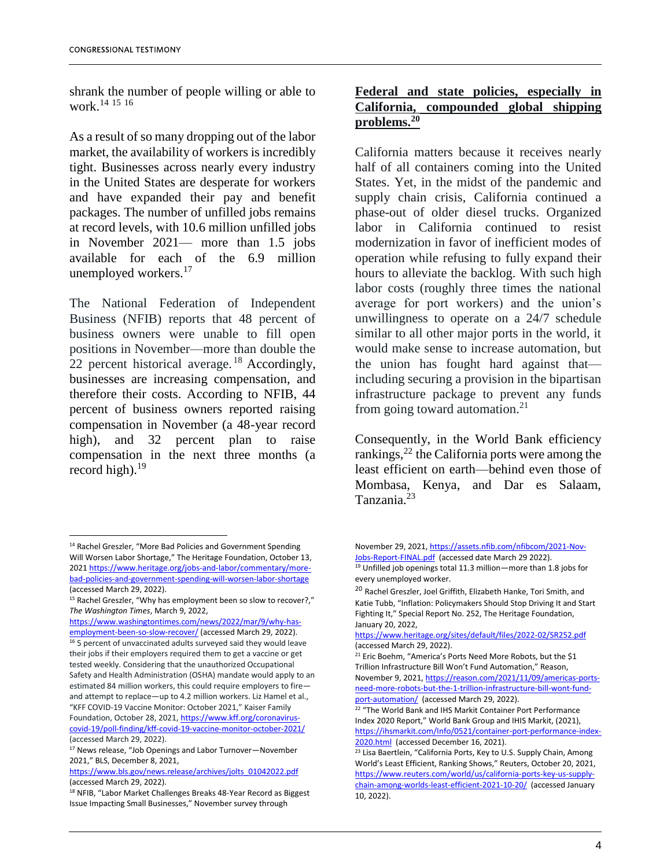shrank the number of people willing or able to work.<sup>14</sup> <sup>15</sup> <sup>16</sup>

As a result of so many dropping out of the labor market, the availability of workers is incredibly tight. Businesses across nearly every industry in the United States are desperate for workers and have expanded their pay and benefit packages. The number of unfilled jobs remains at record levels, with 10.6 million unfilled jobs in November 2021— more than 1.5 jobs available for each of the 6.9 million unemployed workers.<sup>17</sup>

The National Federation of Independent Business (NFIB) reports that 48 percent of business owners were unable to fill open positions in November—more than double the 22 percent historical average.<sup>18</sup> Accordingly, businesses are increasing compensation, and therefore their costs. According to NFIB, 44 percent of business owners reported raising compensation in November (a 48-year record high), and 32 percent plan to raise compensation in the next three months (a record high). $19$ 

### **Federal and state policies, especially in California, compounded global shipping problems.<sup>20</sup>**

California matters because it receives nearly half of all containers coming into the United States. Yet, in the midst of the pandemic and supply chain crisis, California continued a phase-out of older diesel trucks. Organized labor in California continued to resist modernization in favor of inefficient modes of operation while refusing to fully expand their hours to alleviate the backlog. With such high labor costs (roughly three times the national average for port workers) and the union's unwillingness to operate on a 24/7 schedule similar to all other major ports in the world, it would make sense to increase automation, but the union has fought hard against that including securing a provision in the bipartisan infrastructure package to prevent any funds from going toward automation.<sup>21</sup>

Consequently, in the World Bank efficiency rankings,<sup>22</sup> the California ports were among the least efficient on earth—behind even those of Mombasa, Kenya, and Dar es Salaam, Tanzania.<sup>23</sup>

1

[https://www.washingtontimes.com/news/2022/mar/9/why-has](https://www.washingtontimes.com/news/2022/mar/9/why-has-employment-been-so-slow-recover/)[employment-been-so-slow-recover/](https://www.washingtontimes.com/news/2022/mar/9/why-has-employment-been-so-slow-recover/) (accessed March 29, 2022). <sup>16</sup> 5 percent of unvaccinated adults surveyed said they would leave their jobs if their employers required them to get a vaccine or get tested weekly. Considering that the unauthorized Occupational Safety and Health Administration (OSHA) mandate would apply to an estimated 84 million workers, this could require employers to fire and attempt to replace—up to 4.2 million workers. Liz Hamel et al., "KFF COVID-19 Vaccine Monitor: October 2021," Kaiser Family Foundation, October 28, 2021[, https://www.kff.org/coronavirus-](https://www.kff.org/coronavirus-covid-19/poll-finding/kff-covid-19-vaccine-monitor-october-2021/)

[covid-19/poll-finding/kff-covid-19-vaccine-monitor-october-2021/](https://www.kff.org/coronavirus-covid-19/poll-finding/kff-covid-19-vaccine-monitor-october-2021/)  (accessed March 29, 2022).

<sup>14</sup> Rachel Greszler, "More Bad Policies and Government Spending Will Worsen Labor Shortage," The Heritage Foundation, October 13, 202[1 https://www.heritage.org/jobs-and-labor/commentary/more](https://www.heritage.org/jobs-and-labor/commentary/more-bad-policies-and-government-spending-will-worsen-labor-shortage)[bad-policies-and-government-spending-will-worsen-labor-shortage](https://www.heritage.org/jobs-and-labor/commentary/more-bad-policies-and-government-spending-will-worsen-labor-shortage) (accessed March 29, 2022).

<sup>&</sup>lt;sup>15</sup> Rachel Greszler, "Why has employment been so slow to recover?," *The Washington Times*, March 9, 2022,

<sup>17</sup> News release, "Job Openings and Labor Turnover—November 2021," BLS, December 8, 2021,

[https://www.bls.gov/news.release/archives/jolts\\_01042022.pdf](https://www.bls.gov/news.release/archives/jolts_01042022.pdf) (accessed March 29, 2022).

<sup>18</sup> NFIB, "Labor Market Challenges Breaks 48-Year Record as Biggest Issue Impacting Small Businesses," November survey through

November 29, 2021[, https://assets.nfib.com/nfibcom/2021-Nov-](https://assets.nfib.com/nfibcom/2021-Nov-Jobs-Report-FINAL.pdf)[Jobs-Report-FINAL.pdf](https://assets.nfib.com/nfibcom/2021-Nov-Jobs-Report-FINAL.pdf) (accessed date March 29 2022). <sup>19</sup> Unfilled job openings total 11.3 million—more than 1.8 jobs for

every unemployed worker.

<sup>&</sup>lt;sup>20</sup> Rachel Greszler, Joel Griffith, Elizabeth Hanke, Tori Smith, and Katie Tubb, "Inflation: Policymakers Should Stop Driving It and Start Fighting It," Special Report No. 252, The Heritage Foundation, January 20, 2022,

<https://www.heritage.org/sites/default/files/2022-02/SR252.pdf> (accessed March 29, 2022).

<sup>&</sup>lt;sup>21</sup> Eric Boehm, "America's Ports Need More Robots, but the \$1 Trillion Infrastructure Bill Won't Fund Automation," Reason, November 9, 2021[, https://reason.com/2021/11/09/americas-ports](https://reason.com/2021/11/09/americas-ports-need-more-robots-but-the-1-trillion-infrastructure-bill-wont-fund-port-automation/)[need-more-robots-but-the-1-trillion-infrastructure-bill-wont-fund](https://reason.com/2021/11/09/americas-ports-need-more-robots-but-the-1-trillion-infrastructure-bill-wont-fund-port-automation/)[port-automation/](https://reason.com/2021/11/09/americas-ports-need-more-robots-but-the-1-trillion-infrastructure-bill-wont-fund-port-automation/) (accessed March 29, 2022).

<sup>&</sup>lt;sup>22</sup> "The World Bank and IHS Markit Container Port Performance Index 2020 Report," World Bank Group and IHIS Markit, (2021), [https://ihsmarkit.com/Info/0521/container-port-performance-index-](https://ihsmarkit.com/Info/0521/container-port-performance-index-2020.html)[2020.html](https://ihsmarkit.com/Info/0521/container-port-performance-index-2020.html) (accessed December 16, 2021).

 $\frac{23}{23}$  Lisa Baertlein, "California Ports, Key to U.S. Supply Chain, Among World's Least Efficient, Ranking Shows," Reuters, October 20, 2021, [https://www.reuters.com/world/us/california-ports-key-us-supply](https://www.reuters.com/world/us/california-ports-key-us-supply-chain-among-worlds-least-efficient-2021-10-20/)[chain-among-worlds-least-efficient-2021-10-20/](https://www.reuters.com/world/us/california-ports-key-us-supply-chain-among-worlds-least-efficient-2021-10-20/) (accessed January 10, 2022).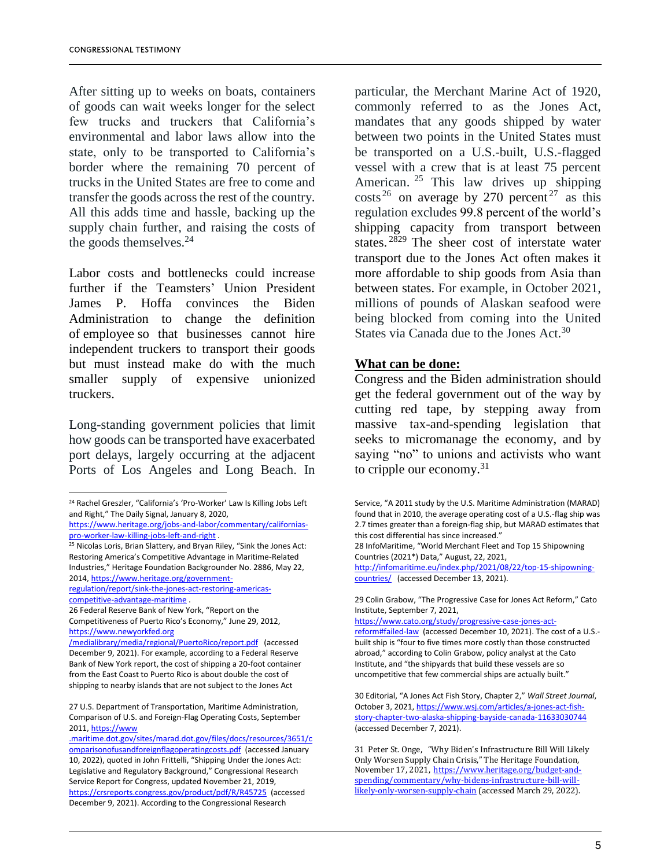After sitting up to weeks on boats, containers of goods can wait weeks longer for the select few trucks and truckers that California's environmental and labor laws allow into the state, only to be transported to California's border where the remaining 70 percent of trucks in the United States are free to come and transfer the goods across the rest of the country. All this adds time and hassle, backing up the supply chain further, and raising the costs of the goods themselves.<sup>24</sup>

Labor costs and bottlenecks could increase further if the Teamsters' Union President James P. Hoffa convinces the Biden Administration to change the definition of employee so that businesses cannot hire independent truckers to transport their goods but must instead make do with the much smaller supply of expensive unionized truckers.

Long-standing government policies that limit how goods can be transported have exacerbated port delays, largely occurring at the adjacent Ports of Los Angeles and Long Beach. In

 $\overline{a}$ 

particular, the Merchant Marine Act of 1920, commonly referred to as the Jones Act, mandates that any goods shipped by water between two points in the United States must be transported on a U.S.-built, U.S.-flagged vessel with a crew that is at least 75 percent American. <sup>25</sup> This law drives up shipping costs<sup>26</sup> on average by 270 percent<sup>27</sup> as this regulation excludes 99.8 percent of the world's shipping capacity from transport between states. <sup>2829</sup> The sheer cost of interstate water transport due to the Jones Act often makes it more affordable to ship goods from Asia than between states. For example, in October 2021, millions of pounds of Alaskan seafood were being blocked from coming into the United States via Canada due to the Jones Act.<sup>30</sup>

#### **What can be done:**

Congress and the Biden administration should get the federal government out of the way by cutting red tape, by stepping away from massive tax-and-spending legislation that seeks to micromanage the economy, and by saying "no" to unions and activists who want to cripple our economy.<sup>31</sup>

28 InfoMaritime, "World Merchant Fleet and Top 15 Shipowning Countries (2021\*) Data," August, 22, 2021,

[http://infomaritime.eu/index.php/2021/08/22/top-15-shipowning](http://infomaritime.eu/index.php/2021/08/22​/top-15-shipowning-countries/)[countries/](http://infomaritime.eu/index.php/2021/08/22​/top-15-shipowning-countries/) (accessed December 13, 2021).

29 Colin Grabow, "The Progressive Case for Jones Act Reform," Cato Institute, September 7, 2021,

[https://www.cato.org/study/progressive-case-jones-act-](https://www.cato.org/study/progressive-case-jones​-act-reform#failed-law)

[reform#failed-law](https://www.cato.org/study/progressive-case-jones​-act-reform#failed-law) (accessed December 10, 2021). The cost of a U.S. built ship is "four to five times more costly than those constructed abroad," according to Colin Grabow, policy analyst at the Cato Institute, and "the shipyards that build these vessels are so uncompetitive that few commercial ships are actually built."

30 Editorial, "A Jones Act Fish Story, Chapter 2," *Wall Street Journal*, October 3, 2021[, https://www.wsj.com/articles/a-jones-act-fish](https://www.wsj.com/articles/a-jones-act-fish-story-chapter-two​-alaska-shipping-bayside-canada-11633030744)[story-chapter-two-alaska-shipping-bayside-canada-11633030744](https://www.wsj.com/articles/a-jones-act-fish-story-chapter-two​-alaska-shipping-bayside-canada-11633030744) (accessed December 7, 2021).

31 Peter St. Onge, "Why Biden's Infrastructure Bill Will Likely Only Worsen Supply Chain Crisis," The Heritage Foundation, November 17, 2021, [https://www.heritage.org/budget-and](https://www.heritage.org/budget-and-spending/commentary/why-bidens-infrastructure-bill-will-likely-only-worsen-supply-chain)[spending/commentary/why-bidens-infrastructure-bill-will](https://www.heritage.org/budget-and-spending/commentary/why-bidens-infrastructure-bill-will-likely-only-worsen-supply-chain)[likely-only-worsen-supply-chain](https://www.heritage.org/budget-and-spending/commentary/why-bidens-infrastructure-bill-will-likely-only-worsen-supply-chain) (accessed March 29, 2022).

<sup>24</sup> Rachel Greszler, "California's 'Pro-Worker' Law Is Killing Jobs Left and Right," The Daily Signal, January 8, 2020,

[https://www.heritage.org/jobs-and-labor/commentary/californias](https://www.heritage.org/jobs-and-labor/commentary/californias-pro-worker-law-killing-jobs-left-and-right)[pro-worker-law-killing-jobs-left-and-right](https://www.heritage.org/jobs-and-labor/commentary/californias-pro-worker-law-killing-jobs-left-and-right) .

<sup>&</sup>lt;sup>25</sup> Nicolas Loris, Brian Slattery, and Bryan Riley, "Sink the Jones Act: Restoring America's Competitive Advantage in Maritime-Related Industries," Heritage Foundation Backgrounder No. 2886, May 22, 2014[, https://www.heritage.org/government-](https://www.heritage.org/government-regulation/report/sink-the-jones-act-restoring​-americas-competitive-advantage-maritime)

[regulation/report/sink-the-jones-act-restoring-americas](https://www.heritage.org/government-regulation/report/sink-the-jones-act-restoring​-americas-competitive-advantage-maritime)[competitive-advantage-maritime](https://www.heritage.org/government-regulation/report/sink-the-jones-act-restoring​-americas-competitive-advantage-maritime) .

<sup>26</sup> Federal Reserve Bank of New York, "Report on the Competitiveness of Puerto Rico's Economy," June 29, 2012, [https://www.newyorkfed.org](https://www.newyorkfed.org/medialibrary/media/regional/PuertoRico/report.pdf)

[<sup>/</sup>medialibrary/media/regional/PuertoRico/report.pdf](https://www.newyorkfed.org/medialibrary/media/regional/PuertoRico/report.pdf) (accessed December 9, 2021). For example, according to a Federal Reserve Bank of New York report, the cost of shipping a 20-foot container from the East Coast to Puerto Rico is about double the cost of shipping to nearby islands that are not subject to the Jones Act

<sup>27</sup> U.S. Department of Transportation, Maritime Administration, Comparison of U.S. and Foreign-Flag Operating Costs, September 2011[, https://www](https://www.maritime.dot.gov/sites/marad.dot.gov/files/docs/resources/3651/comparisonofusandforeignflagoperatingcosts.pdf)

[<sup>.</sup>maritime.dot.gov/sites/marad.dot.gov/files/docs/resources/3651/c](https://www.maritime.dot.gov/sites/marad.dot.gov/files/docs/resources/3651/comparisonofusandforeignflagoperatingcosts.pdf) [omparisonofusandforeignflagoperatingcosts.pdf](https://www.maritime.dot.gov/sites/marad.dot.gov/files/docs/resources/3651/comparisonofusandforeignflagoperatingcosts.pdf) (accessed January 10, 2022), quoted in John Frittelli, "Shipping Under the Jones Act: Legislative and Regulatory Background," Congressional Research Service Report for Congress, updated November 21, 2019, <https://crsreports.congress.gov/product/pdf/R/R45725> (accessed December 9, 2021). According to the Congressional Research

Service, "A 2011 study by the U.S. Maritime Administration (MARAD) found that in 2010, the average operating cost of a U.S.-flag ship was 2.7 times greater than a foreign-flag ship, but MARAD estimates that this cost differential has since increased."